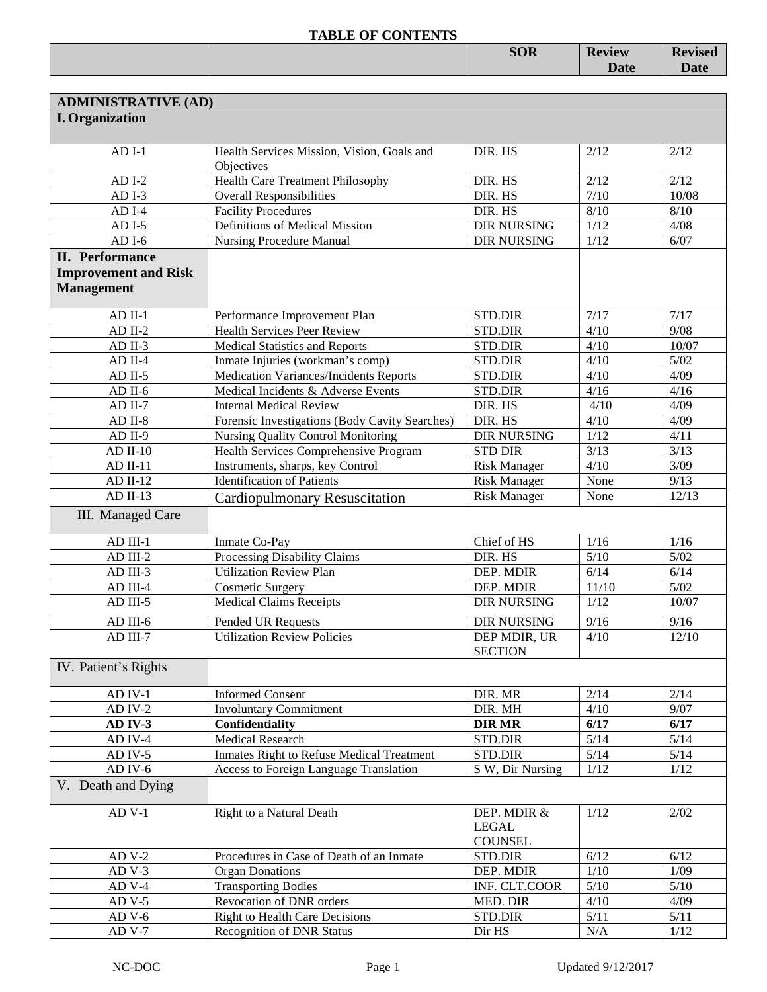|  | <b>SOR</b> | <b>Review</b> | $\mathbf{P}_{\alpha}$<br>лэси<br>11 C |
|--|------------|---------------|---------------------------------------|
|  |            | Dota<br>Datt  | Jale                                  |
|  |            |               |                                       |

| <b>ADMINISTRATIVE (AD)</b>  |                                                          |                                               |        |        |
|-----------------------------|----------------------------------------------------------|-----------------------------------------------|--------|--------|
| <b>I.</b> Organization      |                                                          |                                               |        |        |
|                             |                                                          |                                               |        |        |
| $ADI-1$                     | Health Services Mission, Vision, Goals and<br>Objectives | DIR. HS                                       | 2/12   | 2/12   |
| $ADI-2$                     | Health Care Treatment Philosophy                         | DIR. HS                                       | 2/12   | 2/12   |
| $ADI-3$                     | <b>Overall Responsibilities</b>                          | DIR. HS                                       | $7/10$ | 10/08  |
| $ADI-4$                     | <b>Facility Procedures</b>                               | DIR. HS                                       | $8/10$ | $8/10$ |
| $ADI-5$                     | Definitions of Medical Mission                           | <b>DIR NURSING</b>                            | 1/12   | 4/08   |
| $ADI-6$                     | <b>Nursing Procedure Manual</b>                          | <b>DIR NURSING</b>                            | 1/12   | 6/07   |
| <b>II.</b> Performance      |                                                          |                                               |        |        |
| <b>Improvement and Risk</b> |                                                          |                                               |        |        |
| <b>Management</b>           |                                                          |                                               |        |        |
|                             |                                                          |                                               |        |        |
| $AD$ II-1                   | Performance Improvement Plan                             | <b>STD.DIR</b>                                | 7/17   | 7/17   |
| $AD$ II-2                   | <b>Health Services Peer Review</b>                       | STD.DIR                                       | 4/10   | 9/08   |
| AD II-3                     | <b>Medical Statistics and Reports</b>                    | STD.DIR                                       | 4/10   | 10/07  |
| $AD$ II-4                   | Inmate Injuries (workman's comp)                         | <b>STD.DIR</b>                                | 4/10   | $5/02$ |
| $AD$ II-5                   | <b>Medication Variances/Incidents Reports</b>            | STD.DIR                                       | 4/10   | 4/09   |
| $AD$ II-6                   | Medical Incidents & Adverse Events                       | STD.DIR                                       | 4/16   | 4/16   |
| $AD$ II-7                   | <b>Internal Medical Review</b>                           | DIR. HS                                       | 4/10   | 4/09   |
| $AD II-8$                   | Forensic Investigations (Body Cavity Searches)           | DIR. HS                                       | 4/10   | 4/09   |
| AD II-9                     | Nursing Quality Control Monitoring                       | <b>DIR NURSING</b>                            | 1/12   | 4/11   |
| $AD$ II-10                  | Health Services Comprehensive Program                    | <b>STD DIR</b>                                | 3/13   | 3/13   |
| $AD II-11$                  | Instruments, sharps, key Control                         | <b>Risk Manager</b>                           | 4/10   | 3/09   |
| $AD II-12$                  | <b>Identification of Patients</b>                        | <b>Risk Manager</b>                           | None   | 9/13   |
| $AD II-13$                  | <b>Cardiopulmonary Resuscitation</b>                     | <b>Risk Manager</b>                           | None   | 12/13  |
| III. Managed Care           |                                                          |                                               |        |        |
|                             |                                                          |                                               |        |        |
| AD III-1                    | Inmate Co-Pay                                            | Chief of HS                                   | 1/16   | $1/16$ |
| AD III-2                    | Processing Disability Claims                             | DIR. HS                                       | $5/10$ | $5/02$ |
| AD III-3                    | <b>Utilization Review Plan</b>                           | DEP. MDIR                                     | 6/14   | 6/14   |
| AD III-4                    | <b>Cosmetic Surgery</b>                                  | DEP. MDIR                                     | 11/10  | $5/02$ |
| AD III-5                    | <b>Medical Claims Receipts</b>                           | <b>DIR NURSING</b>                            | 1/12   | 10/07  |
| AD III-6                    | Pended UR Requests                                       | <b>DIR NURSING</b>                            | $9/16$ | $9/16$ |
| AD III-7                    | <b>Utilization Review Policies</b>                       | DEP MDIR, UR<br><b>SECTION</b>                | 4/10   | 12/10  |
| IV. Patient's Rights        |                                                          |                                               |        |        |
| AD IV-1                     | <b>Informed Consent</b>                                  | DIR. MR                                       | 2/14   | 2/14   |
| $AD IV-2$                   | <b>Involuntary Commitment</b>                            | DIR. MH                                       | 4/10   | 9/07   |
| AD IV-3                     | Confidentiality                                          | <b>DIR MR</b>                                 | 6/17   | 6/17   |
| AD IV-4                     | Medical Research                                         | STD.DIR                                       | $5/14$ | 5/14   |
| $AD IV-5$                   | Inmates Right to Refuse Medical Treatment                | STD.DIR                                       | 5/14   | $5/14$ |
| AD IV-6                     | Access to Foreign Language Translation                   | S W, Dir Nursing                              | 1/12   | 1/12   |
| V. Death and Dying          |                                                          |                                               |        |        |
|                             |                                                          |                                               |        |        |
| $AD V-1$                    | Right to a Natural Death                                 | DEP. MDIR &<br><b>LEGAL</b><br><b>COUNSEL</b> | 1/12   | 2/02   |
| $ADV-2$                     | Procedures in Case of Death of an Inmate                 | <b>STD.DIR</b>                                | 6/12   | 6/12   |
| $ADV-3$                     | <b>Organ Donations</b>                                   | DEP. MDIR                                     | 1/10   | 1/09   |
| $AD V-4$                    | <b>Transporting Bodies</b>                               | INF. CLT.COOR                                 | 5/10   | $5/10$ |
| $AD V-5$                    | Revocation of DNR orders                                 | MED. DIR                                      | 4/10   | 4/09   |
| $ADV-6$                     | <b>Right to Health Care Decisions</b>                    | STD.DIR                                       | 5/11   | 5/11   |
| $AD V-7$                    | <b>Recognition of DNR Status</b>                         | Dir HS                                        | N/A    | 1/12   |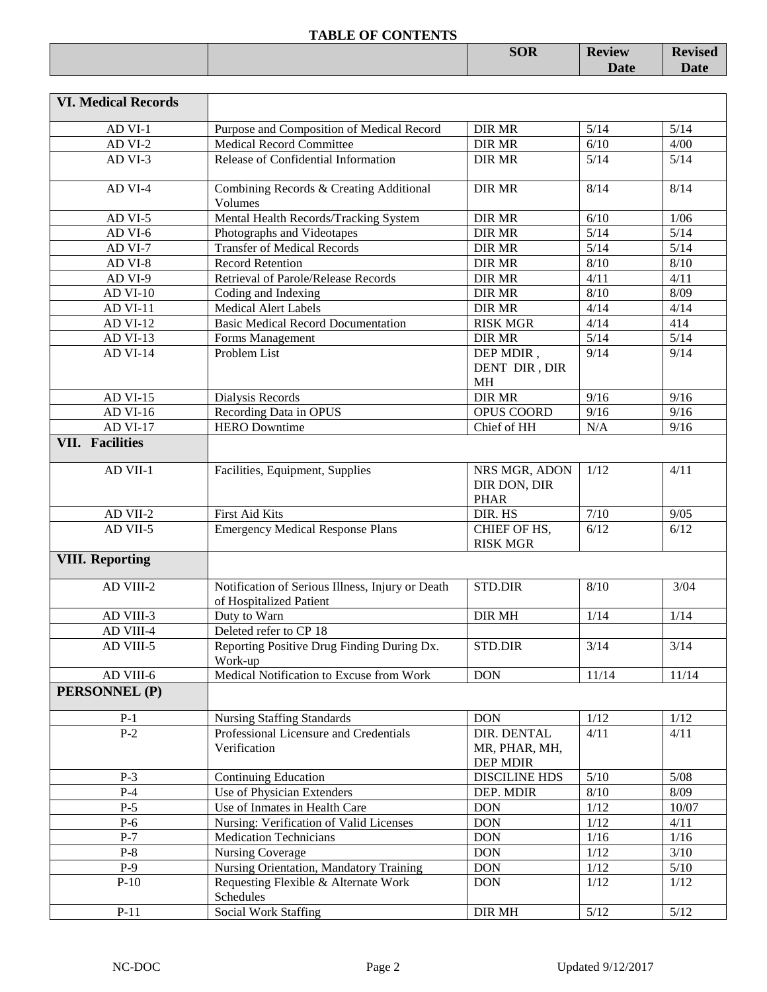|  | <b>SOR</b> | <b>Review</b> | <b>Revised</b> |
|--|------------|---------------|----------------|
|  |            | <b>Date</b>   | <b>Date</b>    |
|  |            |               |                |

| <b>VI. Medical Records</b> |                                                                             |                                              |        |        |
|----------------------------|-----------------------------------------------------------------------------|----------------------------------------------|--------|--------|
| AD VI-1                    | Purpose and Composition of Medical Record                                   | <b>DIR MR</b>                                | 5/14   | 5/14   |
| AD VI-2                    | <b>Medical Record Committee</b>                                             | <b>DIR MR</b>                                | 6/10   | 4/00   |
| AD VI-3                    | Release of Confidential Information                                         | <b>DIR MR</b>                                | 5/14   | $5/14$ |
| AD VI-4                    | Combining Records & Creating Additional<br>Volumes                          | <b>DIR MR</b>                                | 8/14   | 8/14   |
| AD VI-5                    | Mental Health Records/Tracking System                                       | <b>DIR MR</b>                                | 6/10   | 1/06   |
| AD VI-6                    | Photographs and Videotapes                                                  | <b>DIR MR</b>                                | $5/14$ | $5/14$ |
| AD VI-7                    | <b>Transfer of Medical Records</b>                                          | <b>DIR MR</b>                                | $5/14$ | $5/14$ |
| AD VI-8                    | <b>Record Retention</b>                                                     | <b>DIR MR</b>                                | 8/10   | 8/10   |
| AD VI-9                    | Retrieval of Parole/Release Records                                         | <b>DIR MR</b>                                | 4/11   | 4/11   |
| <b>AD VI-10</b>            | Coding and Indexing                                                         | <b>DIR MR</b>                                | 8/10   | 8/09   |
| AD VI-11                   | <b>Medical Alert Labels</b>                                                 | <b>DIR MR</b>                                | 4/14   | 4/14   |
| <b>AD VI-12</b>            | <b>Basic Medical Record Documentation</b>                                   | <b>RISK MGR</b>                              | 4/14   | 414    |
| AD VI-13                   | Forms Management                                                            | <b>DIR MR</b>                                | 5/14   | $5/14$ |
| <b>AD VI-14</b>            | Problem List                                                                | DEP MDIR,                                    | 9/14   | 9/14   |
|                            |                                                                             | DENT DIR, DIR                                |        |        |
|                            |                                                                             | <b>MH</b>                                    |        |        |
| <b>AD VI-15</b>            | Dialysis Records                                                            | <b>DIR MR</b>                                | 9/16   | 9/16   |
| AD VI-16                   | Recording Data in OPUS                                                      | OPUS COORD                                   | 9/16   | 9/16   |
| <b>AD VI-17</b>            | <b>HERO</b> Downtime                                                        | Chief of HH                                  | N/A    | 9/16   |
| <b>VII. Facilities</b>     |                                                                             |                                              |        |        |
| AD VII-1                   | Facilities, Equipment, Supplies                                             | NRS MGR, ADON<br>DIR DON, DIR<br><b>PHAR</b> | 1/12   | 4/11   |
| AD VII-2                   | First Aid Kits                                                              | DIR. HS                                      | $7/10$ | 9/05   |
| AD VII-5                   | <b>Emergency Medical Response Plans</b>                                     | CHIEF OF HS,<br><b>RISK MGR</b>              | 6/12   | 6/12   |
| <b>VIII. Reporting</b>     |                                                                             |                                              |        |        |
| AD VIII-2                  | Notification of Serious Illness, Injury or Death<br>of Hospitalized Patient | STD.DIR                                      | 8/10   | 3/04   |
| AD VIII-3                  | Duty to Warn                                                                | <b>DIR MH</b>                                | 1/14   | 1/14   |
| AD VIII-4                  | Deleted refer to CP 18                                                      |                                              |        |        |
| AD VIII-5                  | Reporting Positive Drug Finding During Dx.<br>Work-up                       | STD.DIR                                      | 3/14   | 3/14   |
| AD VIII-6                  | Medical Notification to Excuse from Work                                    | <b>DON</b>                                   | 11/14  | 11/14  |
| PERSONNEL (P)              |                                                                             |                                              |        |        |
| $P-1$                      | <b>Nursing Staffing Standards</b>                                           | <b>DON</b>                                   | 1/12   | $1/12$ |
| $P-2$                      | Professional Licensure and Credentials                                      | DIR. DENTAL                                  | 4/11   | 4/11   |
|                            | Verification                                                                | MR, PHAR, MH,<br>DEP MDIR                    |        |        |
| $P-3$                      | <b>Continuing Education</b>                                                 | <b>DISCILINE HDS</b>                         | $5/10$ | $5/08$ |
| $P-4$                      | Use of Physician Extenders                                                  | DEP. MDIR                                    | $8/10$ | 8/09   |
| $P-5$                      | Use of Inmates in Health Care                                               | <b>DON</b>                                   | 1/12   | 10/07  |
| $P-6$                      | Nursing: Verification of Valid Licenses                                     | <b>DON</b>                                   | 1/12   | 4/11   |
| $P-7$                      | <b>Medication Technicians</b>                                               | <b>DON</b>                                   | 1/16   | $1/16$ |
| $P-8$                      | <b>Nursing Coverage</b>                                                     | <b>DON</b>                                   | 1/12   | $3/10$ |
| $P-9$                      | Nursing Orientation, Mandatory Training                                     | <b>DON</b>                                   | $1/12$ | $5/10$ |
| $P-10$                     | Requesting Flexible & Alternate Work<br>Schedules                           | <b>DON</b>                                   | 1/12   | 1/12   |
| $P-11$                     | Social Work Staffing                                                        | DIR MH                                       | $5/12$ | $5/12$ |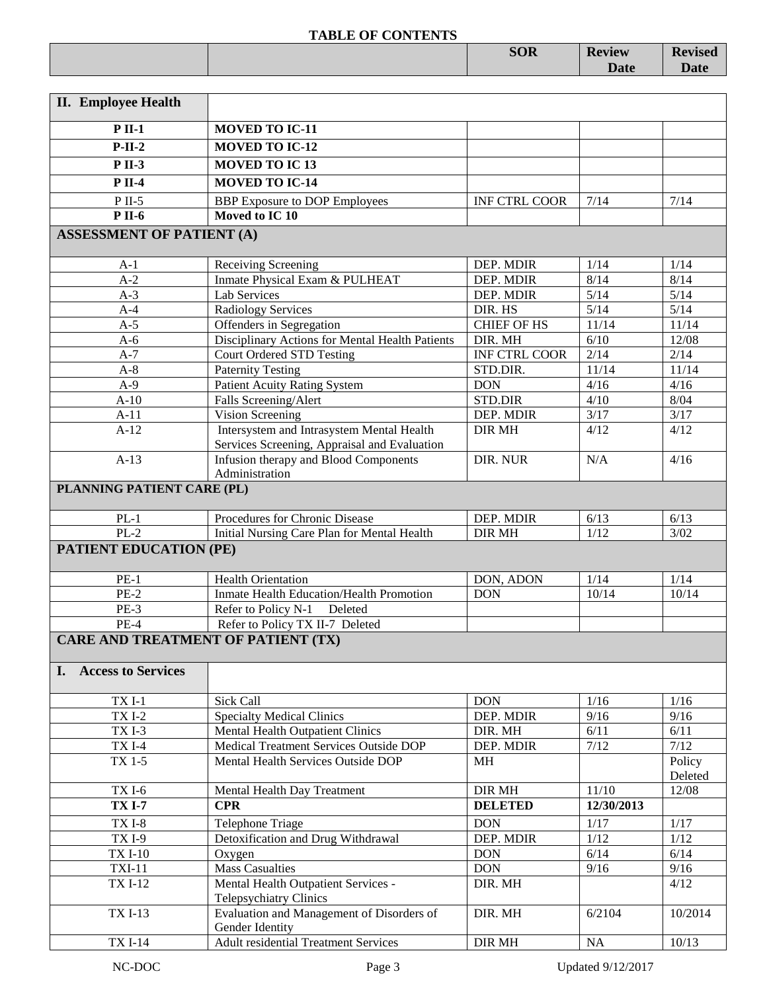|                                           | <b>SOR</b> | <b>Review</b><br><b>Date</b> | <b>Revised</b><br>$\mathbf{R}$ -40<br>Date |
|-------------------------------------------|------------|------------------------------|--------------------------------------------|
| $\mathbf{r}$<br>$\mathbf{L}$<br><b>TT</b> |            |                              |                                            |

| <b>II.</b> Employee Health                |                                                                                           |                          |              |              |
|-------------------------------------------|-------------------------------------------------------------------------------------------|--------------------------|--------------|--------------|
| $P$ II-1                                  | <b>MOVED TO IC-11</b>                                                                     |                          |              |              |
| $P-II-2$                                  | <b>MOVED TO IC-12</b>                                                                     |                          |              |              |
| $P II-3$                                  | <b>MOVED TO IC13</b>                                                                      |                          |              |              |
| $P$ II-4                                  | <b>MOVED TO IC-14</b>                                                                     |                          |              |              |
|                                           |                                                                                           |                          |              |              |
| $P$ II-5<br><b>P</b> II-6                 | <b>BBP</b> Exposure to DOP Employees<br>Moved to IC 10                                    | <b>INF CTRL COOR</b>     | 7/14         | 7/14         |
|                                           |                                                                                           |                          |              |              |
| <b>ASSESSMENT OF PATIENT (A)</b>          |                                                                                           |                          |              |              |
| $A-1$                                     | Receiving Screening                                                                       | DEP. MDIR                | 1/14         | 1/14         |
| $A-2$                                     | Inmate Physical Exam & PULHEAT                                                            | DEP. MDIR                | 8/14         | 8/14         |
| $A-3$                                     | Lab Services                                                                              | DEP. MDIR                | 5/14         | $5/14$       |
| $A-4$                                     | <b>Radiology Services</b>                                                                 | DIR. HS                  | 5/14         | 5/14         |
| $A-5$                                     | Offenders in Segregation                                                                  | <b>CHIEF OF HS</b>       | 11/14        | 11/14        |
| $A-6$                                     | Disciplinary Actions for Mental Health Patients                                           | DIR. MH                  | 6/10         | 12/08        |
| $A-7$                                     | <b>Court Ordered STD Testing</b>                                                          | <b>INF CTRL COOR</b>     | 2/14         | 2/14         |
| $A-8$                                     | <b>Paternity Testing</b>                                                                  | STD.DIR.                 | 11/14        | 11/14        |
| $A-9$                                     | <b>Patient Acuity Rating System</b>                                                       | <b>DON</b>               | 4/16         | 4/16         |
| $A-10$                                    | Falls Screening/Alert                                                                     | <b>STD.DIR</b>           | 4/10         | 8/04         |
| $A-11$                                    | Vision Screening                                                                          | DEP. MDIR                | 3/17         | 3/17         |
| $A-12$                                    | Intersystem and Intrasystem Mental Health<br>Services Screening, Appraisal and Evaluation | DIR MH                   | 4/12         | 4/12         |
| $A-13$                                    | Infusion therapy and Blood Components                                                     | DIR. NUR                 | N/A          | 4/16         |
|                                           | Administration                                                                            |                          |              |              |
| PLANNING PATIENT CARE (PL)                |                                                                                           |                          |              |              |
|                                           |                                                                                           |                          |              |              |
| $PL-1$                                    | Procedures for Chronic Disease                                                            | DEP. MDIR                | 6/13         | 6/13         |
| $PL-2$                                    | Initial Nursing Care Plan for Mental Health                                               | <b>DIR MH</b>            | 1/12         | 3/02         |
| <b>PATIENT EDUCATION (PE)</b>             |                                                                                           |                          |              |              |
| $PE-1$                                    | <b>Health Orientation</b>                                                                 | DON, ADON                | 1/14         | 1/14         |
| $PE-2$                                    | Inmate Health Education/Health Promotion                                                  | <b>DON</b>               | 10/14        | 10/14        |
| $PE-3$                                    | Refer to Policy N-1<br>Deleted                                                            |                          |              |              |
| $PE-4$                                    | Refer to Policy TX II-7 Deleted                                                           |                          |              |              |
| <b>CARE AND TREATMENT OF PATIENT (TX)</b> |                                                                                           |                          |              |              |
| I. Access to Services                     |                                                                                           |                          |              |              |
|                                           |                                                                                           |                          |              |              |
| $TXI-1$                                   | Sick Call                                                                                 | <b>DON</b>               | 1/16         | 1/16         |
| <b>TXI-2</b>                              | <b>Specialty Medical Clinics</b>                                                          | DEP. MDIR                | 9/16         | 9/16         |
| TXI-3                                     | Mental Health Outpatient Clinics                                                          | DIR. MH                  | 6/11         | 6/11         |
| TX I-4                                    | Medical Treatment Services Outside DOP                                                    | DEP. MDIR                | 7/12         | 7/12         |
| TX 1-5                                    | Mental Health Services Outside DOP                                                        | МH                       |              | Policy       |
|                                           |                                                                                           |                          |              | Deleted      |
| <b>TXI-6</b>                              | Mental Health Day Treatment                                                               | DIR MH                   | 11/10        | 12/08        |
| <b>TX I-7</b>                             | <b>CPR</b>                                                                                | <b>DELETED</b>           | 12/30/2013   |              |
| $TXI-8$                                   | Telephone Triage                                                                          | DON                      | 1/17         | 1/17         |
| $TXI-9$                                   | Detoxification and Drug Withdrawal                                                        | DEP. MDIR                | $1/12$       | 1/12         |
| <b>TX I-10</b><br>$TXI-11$                | Oxygen<br><b>Mass Casualties</b>                                                          | <b>DON</b><br><b>DON</b> | 6/14<br>9/16 | 6/14<br>9/16 |
| <b>TXI-12</b>                             | Mental Health Outpatient Services -                                                       | DIR. MH                  |              | 4/12         |
|                                           | <b>Telepsychiatry Clinics</b>                                                             |                          |              |              |
| <b>TXI-13</b>                             | Evaluation and Management of Disorders of                                                 | DIR. MH                  | 6/2104       | 10/2014      |
|                                           | Gender Identity                                                                           |                          |              |              |
| <b>TXI-14</b>                             | <b>Adult residential Treatment Services</b>                                               | DIR MH                   | $\rm NA$     | 10/13        |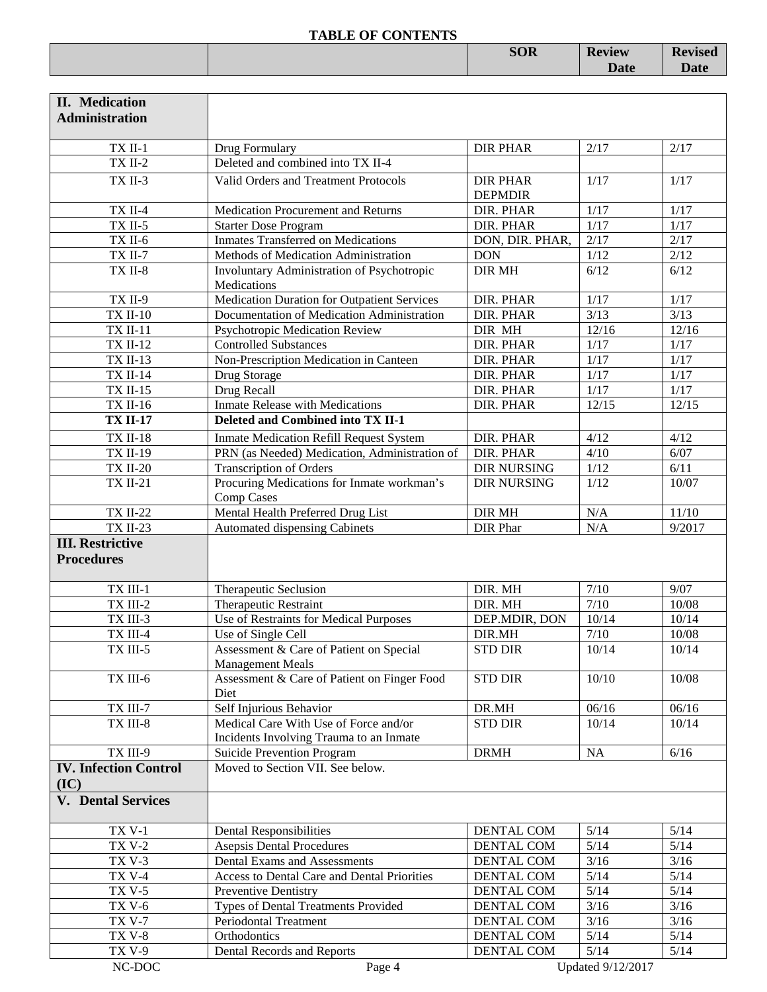| THEFT OF CONTRACTS |            |               |                                          |
|--------------------|------------|---------------|------------------------------------------|
|                    | <b>SOR</b> | <b>Review</b> | $\blacksquare$<br>$\sim$ v 15 $\sigma$ u |
|                    |            | Date          |                                          |
|                    |            |               |                                          |

| <b>II.</b> Medication<br><b>Administration</b> |                                                                    |                                   |        |        |
|------------------------------------------------|--------------------------------------------------------------------|-----------------------------------|--------|--------|
|                                                |                                                                    |                                   |        |        |
| TX II-1                                        | Drug Formulary                                                     | <b>DIR PHAR</b>                   | 2/17   | 2/17   |
| $TXII-2$                                       | Deleted and combined into TX II-4                                  |                                   |        |        |
| TX II-3                                        | Valid Orders and Treatment Protocols                               | <b>DIR PHAR</b><br><b>DEPMDIR</b> | 1/17   | 1/17   |
| TX II-4                                        | Medication Procurement and Returns                                 | DIR. PHAR                         | 1/17   | 1/17   |
| $TX$ II-5                                      | <b>Starter Dose Program</b>                                        | DIR. PHAR                         | 1/17   | $1/17$ |
| TX II-6                                        | <b>Inmates Transferred on Medications</b>                          | DON, DIR. PHAR,                   | 2/17   | 2/17   |
| TX II-7                                        | Methods of Medication Administration                               | <b>DON</b>                        | 1/12   | 2/12   |
| TX II-8                                        | Involuntary Administration of Psychotropic<br>Medications          | <b>DIR MH</b>                     | 6/12   | 6/12   |
| TX II-9                                        | Medication Duration for Outpatient Services                        | DIR. PHAR                         | 1/17   | 1/17   |
| <b>TX II-10</b>                                | Documentation of Medication Administration                         | DIR. PHAR                         | 3/13   | 3/13   |
| <b>TX II-11</b>                                | Psychotropic Medication Review                                     | DIR MH                            | 12/16  | 12/16  |
| <b>TX II-12</b>                                | <b>Controlled Substances</b>                                       | DIR. PHAR                         | 1/17   | $1/17$ |
| <b>TX II-13</b>                                | Non-Prescription Medication in Canteen                             | DIR. PHAR                         | 1/17   | 1/17   |
| <b>TX II-14</b>                                | Drug Storage                                                       | DIR. PHAR                         | $1/17$ | 1/17   |
| <b>TX II-15</b>                                | Drug Recall                                                        | DIR. PHAR                         | 1/17   | 1/17   |
| <b>TX II-16</b>                                | <b>Inmate Release with Medications</b>                             | DIR. PHAR                         | 12/15  | 12/15  |
| <b>TX II-17</b>                                | Deleted and Combined into TX II-1                                  |                                   |        |        |
| <b>TX II-18</b>                                | <b>Inmate Medication Refill Request System</b>                     | DIR. PHAR                         | 4/12   | 4/12   |
| <b>TX II-19</b>                                | PRN (as Needed) Medication, Administration of                      | DIR. PHAR                         | 4/10   | 6/07   |
| <b>TX II-20</b>                                | <b>Transcription of Orders</b>                                     | <b>DIR NURSING</b>                | 1/12   | 6/11   |
| <b>TX II-21</b>                                | Procuring Medications for Inmate workman's<br><b>Comp Cases</b>    | <b>DIR NURSING</b>                | 1/12   | 10/07  |
| <b>TX II-22</b>                                | Mental Health Preferred Drug List                                  | <b>DIR MH</b>                     | N/A    | 11/10  |
| <b>TX II-23</b>                                | Automated dispensing Cabinets                                      | <b>DIR</b> Phar                   | N/A    | 9/2017 |
| <b>III. Restrictive</b>                        |                                                                    |                                   |        |        |
| <b>Procedures</b>                              |                                                                    |                                   |        |        |
| TX III-1                                       | Therapeutic Seclusion                                              | DIR. MH                           | $7/10$ | 9/07   |
| $TX$ III-2                                     | Therapeutic Restraint                                              | DIR. MH                           | $7/10$ | 10/08  |
| TX III-3                                       | Use of Restraints for Medical Purposes                             | DEP.MDIR, DON                     | 10/14  | 10/14  |
| $TX$ III-4 $\,$                                | Use of Single Cell                                                 | DIR.MH                            | $7/10$ | 10/08  |
| TX III-5                                       | Assessment & Care of Patient on Special<br><b>Management Meals</b> | <b>STD DIR</b>                    | 10/14  | 10/14  |
| TX III-6                                       | Assessment & Care of Patient on Finger Food<br>Diet                | <b>STD DIR</b>                    | 10/10  | 10/08  |
| TX III-7                                       | Self Injurious Behavior                                            | DR.MH                             | 06/16  | 06/16  |
| TX III-8                                       | Medical Care With Use of Force and/or                              | <b>STD DIR</b>                    | 10/14  | 10/14  |
|                                                | Incidents Involving Trauma to an Inmate                            |                                   |        |        |
| TX III-9                                       | Suicide Prevention Program                                         | <b>DRMH</b>                       | NA     | 6/16   |
| <b>IV. Infection Control</b><br>(IC)           | Moved to Section VII. See below.                                   |                                   |        |        |
| <b>V.</b> Dental Services                      |                                                                    |                                   |        |        |
| <b>TX V-1</b>                                  | <b>Dental Responsibilities</b>                                     | DENTAL COM                        | $5/14$ | $5/14$ |
| <b>TX V-2</b>                                  | <b>Asepsis Dental Procedures</b>                                   | DENTAL COM                        | $5/14$ | $5/14$ |
| <b>TX V-3</b>                                  | Dental Exams and Assessments                                       | DENTAL COM                        | 3/16   | 3/16   |
| <b>TX V-4</b>                                  | Access to Dental Care and Dental Priorities                        | DENTAL COM                        | $5/14$ | $5/14$ |
| <b>TX V-5</b>                                  | Preventive Dentistry                                               | DENTAL COM                        | $5/14$ | $5/14$ |
| <b>TX V-6</b>                                  | Types of Dental Treatments Provided                                | DENTAL COM                        | 3/16   | $3/16$ |
| <b>TX V-7</b>                                  |                                                                    |                                   |        |        |
|                                                | Periodontal Treatment                                              | DENTAL COM                        | 3/16   | $3/16$ |
| <b>TX V-8</b>                                  | Orthodontics                                                       | DENTAL COM                        | $5/14$ | $5/14$ |
| <b>TX V-9</b>                                  | Dental Records and Reports                                         | DENTAL COM                        | $5/14$ | $5/14$ |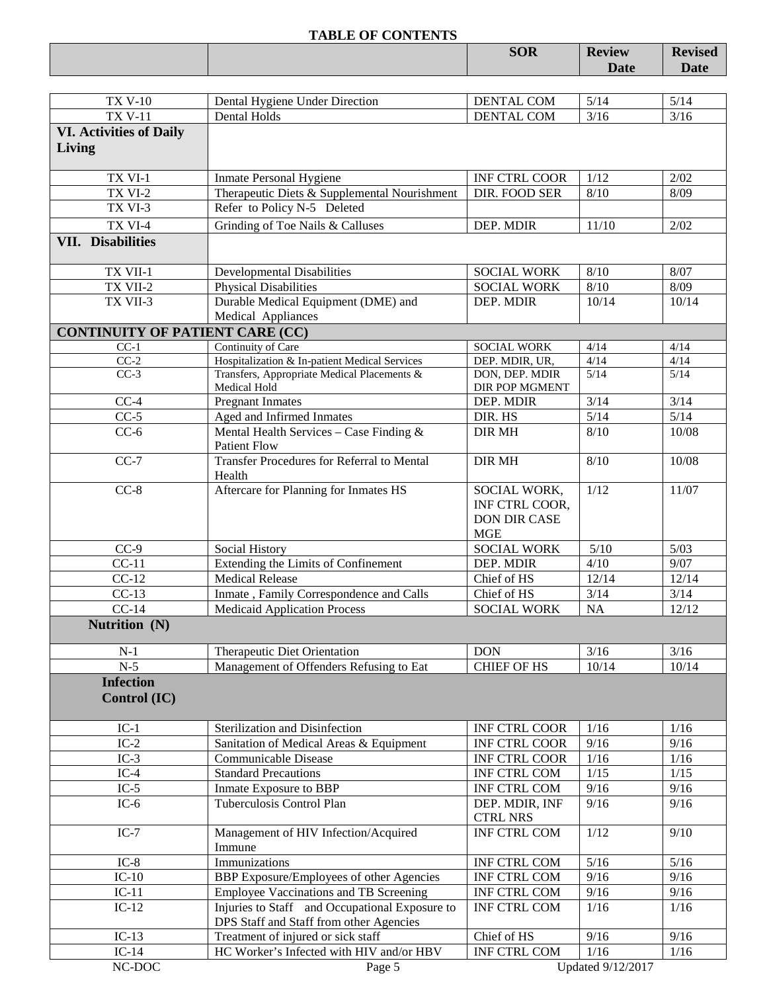|                                        | <b>TABLE OF CONTENTS</b>                        |                      |               |                |
|----------------------------------------|-------------------------------------------------|----------------------|---------------|----------------|
|                                        |                                                 | <b>SOR</b>           | <b>Review</b> | <b>Revised</b> |
|                                        |                                                 |                      | Date          | <b>Date</b>    |
|                                        |                                                 |                      |               |                |
| <b>TX V-10</b>                         | Dental Hygiene Under Direction                  | DENTAL COM           | 5/14          | 5/14           |
| <b>TX V-11</b>                         | Dental Holds                                    | DENTAL COM           | $3/16$        | $3/16$         |
| <b>VI. Activities of Daily</b>         |                                                 |                      |               |                |
| Living                                 |                                                 |                      |               |                |
|                                        |                                                 |                      |               |                |
| TX VI-1                                | Inmate Personal Hygiene                         | <b>INF CTRL COOR</b> | 1/12          | 2/02           |
| TX VI-2                                | Therapeutic Diets & Supplemental Nourishment    | DIR. FOOD SER        | 8/10          | 8/09           |
| TX VI-3                                | Refer to Policy N-5 Deleted                     |                      |               |                |
| TX VI-4                                | Grinding of Toe Nails & Calluses                | DEP. MDIR            | 11/10         | 2/02           |
| <b>VII.</b> Disabilities               |                                                 |                      |               |                |
|                                        |                                                 |                      |               |                |
| TX VII-1                               | <b>Developmental Disabilities</b>               | <b>SOCIAL WORK</b>   | 8/10          | 8/07           |
| TX VII-2                               | <b>Physical Disabilities</b>                    | <b>SOCIAL WORK</b>   | 8/10          | 8/09           |
| TX VII-3                               | Durable Medical Equipment (DME) and             | DEP. MDIR            | 10/14         | 10/14          |
|                                        | Medical Appliances                              |                      |               |                |
| <b>CONTINUITY OF PATIENT CARE (CC)</b> |                                                 |                      |               |                |
| $CC-1$                                 | Continuity of Care                              | <b>SOCIAL WORK</b>   | 4/14          | 4/14           |
| $CC-2$                                 | Hospitalization & In-patient Medical Services   | DEP. MDIR, UR,       | 4/14          | 4/14           |
| $CC-3$                                 | Transfers, Appropriate Medical Placements &     | DON, DEP. MDIR       | $5/14$        | $5/14$         |
|                                        | Medical Hold                                    | DIR POP MGMENT       |               |                |
| $CC-4$                                 | <b>Pregnant Inmates</b>                         | DEP. MDIR            | $3/14$        | $3/14$         |
| $CC-5$                                 | Aged and Infirmed Inmates                       | DIR. HS              | $5/14$        | $5/14$         |
| $CC-6$                                 | Mental Health Services - Case Finding &         | <b>DIR MH</b>        | $8/10$        | 10/08          |
|                                        | <b>Patient Flow</b>                             |                      |               |                |
| $CC-7$                                 | Transfer Procedures for Referral to Mental      | <b>DIR MH</b>        | 8/10          | 10/08          |
|                                        | Health                                          |                      |               |                |
| $CC-8$                                 | Aftercare for Planning for Inmates HS           | SOCIAL WORK,         | 1/12          | 11/07          |
|                                        |                                                 | INF CTRL COOR,       |               |                |
|                                        |                                                 | <b>DON DIR CASE</b>  |               |                |
|                                        |                                                 | <b>MGE</b>           |               |                |
| $CC-9$                                 | Social History                                  | <b>SOCIAL WORK</b>   | $5/10$        | $5/03$         |
| $CC-11$                                | Extending the Limits of Confinement             | DEP. MDIR            | 4/10          | 9/07           |
| $CC-12$                                | <b>Medical Release</b>                          | Chief of HS          | 12/14<br>3/14 | 12/14          |
| $CC-13$                                | Inmate, Family Correspondence and Calls         | Chief of HS          |               | 3/14           |
| $CC-14$                                | <b>Medicaid Application Process</b>             | <b>SOCIAL WORK</b>   | NA            | 12/12          |
| Nutrition (N)                          |                                                 |                      |               |                |
| $N-1$                                  | Therapeutic Diet Orientation                    | <b>DON</b>           | 3/16          | 3/16           |
| $N-5$                                  | Management of Offenders Refusing to Eat         | <b>CHIEF OF HS</b>   | 10/14         | 10/14          |
| <b>Infection</b>                       |                                                 |                      |               |                |
| Control (IC)                           |                                                 |                      |               |                |
|                                        |                                                 |                      |               |                |
| $IC-1$                                 | Sterilization and Disinfection                  | <b>INF CTRL COOR</b> | 1/16          | 1/16           |
| $IC-2$                                 | Sanitation of Medical Areas & Equipment         | <b>INF CTRL COOR</b> | 9/16          | 9/16           |
| $IC-3$                                 | Communicable Disease                            | <b>INF CTRL COOR</b> | 1/16          | 1/16           |
| $IC-4$                                 | <b>Standard Precautions</b>                     | INF CTRL COM         | $1/15$        | $1/15$         |
| $IC-5$                                 | Inmate Exposure to BBP                          | INF CTRL COM         | 9/16          | $9/16$         |
| $IC-6$                                 | Tuberculosis Control Plan                       | DEP. MDIR, INF       | 9/16          | 9/16           |
|                                        |                                                 | <b>CTRL NRS</b>      |               |                |
| $IC-7$                                 | Management of HIV Infection/Acquired            | INF CTRL COM         | 1/12          | 9/10           |
|                                        | Immune                                          |                      |               |                |
| $IC-8$                                 | Immunizations                                   | INF CTRL COM         | $5/16$        | $5/16$         |
| $IC-10$                                | <b>BBP</b> Exposure/Employees of other Agencies | INF CTRL COM         | 9/16          | $9/16$         |
| $IC-11$                                | Employee Vaccinations and TB Screening          | INF CTRL COM         | 9/16          | 9/16           |
| $IC-12$                                | Injuries to Staff and Occupational Exposure to  | INF CTRL COM         | 1/16          | 1/16           |
|                                        | DPS Staff and Staff from other Agencies         |                      |               |                |
| $IC-13$                                | Treatment of injured or sick staff              | Chief of HS          | 9/16          | 9/16           |
| $IC-14$                                | HC Worker's Infected with HIV and/or HBV        | INF CTRL COM         | 1/16          | $1/16$         |